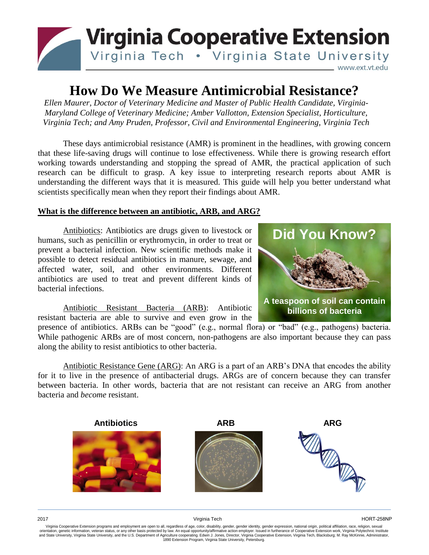

# **How Do We Measure Antimicrobial Resistance?**

*Ellen Maurer, Doctor of Veterinary Medicine and Master of Public Health Candidate, Virginia-Maryland College of Veterinary Medicine; Amber Vallotton, Extension Specialist, Horticulture, Virginia Tech; and Amy Pruden, Professor, Civil and Environmental Engineering, Virginia Tech*

These days antimicrobial resistance (AMR) is prominent in the headlines, with growing concern that these life-saving drugs will continue to lose effectiveness. While there is growing research effort working towards understanding and stopping the spread of AMR, the practical application of such research can be difficult to grasp. A key issue to interpreting research reports about AMR is understanding the different ways that it is measured. This guide will help you better understand what scientists specifically mean when they report their findings about AMR.

## **What is the difference between an antibiotic, ARB, and ARG?**

Antibiotics: Antibiotics are drugs given to livestock or humans, such as penicillin or erythromycin, in order to treat or prevent a bacterial infection. New scientific methods make it possible to detect residual antibiotics in manure, sewage, and affected water, soil, and other environments. Different antibiotics are used to treat and prevent different kinds of bacterial infections.

Antibiotic Resistant Bacteria (ARB): Antibiotic resistant bacteria are able to survive and even grow in the

presence of antibiotics. ARBs can be "good" (e.g., normal flora) or "bad" (e.g., pathogens) bacteria. While pathogenic ARBs are of most concern, non-pathogens are also important because they can pass along the ability to resist antibiotics to other bacteria.

Antibiotic Resistance Gene (ARG): An ARG is a part of an ARB's DNA that encodes the ability for it to live in the presence of antibacterial drugs. ARGs are of concern because they can transfer between bacteria. In other words, bacteria that are not resistant can receive an ARG from another bacteria and *become* resistant.



**Did You Know? A teaspoon of soil can contain billions of bacteria**

Virginia Cooperative Extension programs and employment are open to all, regardless of age, color, disability, gender, gender identity, gender expression, national origin, political affiliation, race, religion, sexual orientation, genetic information, veteran status, or any other basis protected by law. An equal opportunity/affirmative action employer. Issued in furtherance of Cooperative Extension work, Virginia Polytechnic Institute<br>a 1890 Extension Program, Virginia State University, Petersburg.